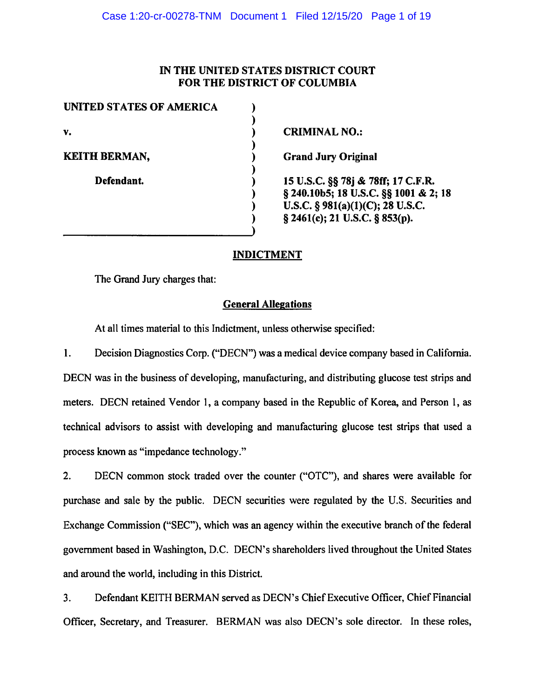# IN THE UNITED STATES DISTRICT COURT FOR THE DISTRICT OF COLUMBIA

| UNITED STATES OF AMERICA |                                                                             |
|--------------------------|-----------------------------------------------------------------------------|
| v.                       | <b>CRIMINAL NO.:</b>                                                        |
| <b>KEITH BERMAN,</b>     | <b>Grand Jury Original</b>                                                  |
| Defendant.               | 15 U.S.C. §§ 78j & 78ff; 17 C.F.R.<br>§ 240.10b5; 18 U.S.C. §§ 1001 & 2; 18 |
|                          | U.S.C. $\S$ 981(a)(1)(C); 28 U.S.C.                                         |
|                          | $\S$ 2461(c); 21 U.S.C. $\S$ 853(p).                                        |
|                          |                                                                             |

# **INDICTMENT**

The Grand Jury charges that:

# **General Allegations**

At all times material to this Indictment, unless otherwise specified:

1. Decision Diagnostics Corp. ("DECN") was a medical device company based in California. DECN was in the business of developing, manufacturing, and distributing glucose test strips and meters. DECN retained Vendor 1, a company based in the Republic of Korea, and Person 1, as technical advisors to assist with developing and manufacturing glucose test strips that used a process known as "impedance technology."

2. DECN common stock traded over the counter ("OTC"), and shares were available for purchase and sale by the public. DECN securities were regulated by the U.S. Securities and Exchange Commission ("SEC"), which was an agency within the executive branch of the federal government based in Washington, D.C. DECN's shareholders lived throughout the United States and around the world, including in this District.

3. Defendant KEITH BERMAN served as DECN's Chief Executive Officer, Chief Financial Officer, Secretary, and Treasurer. BERMAN was also DECN's sole director. In these roles,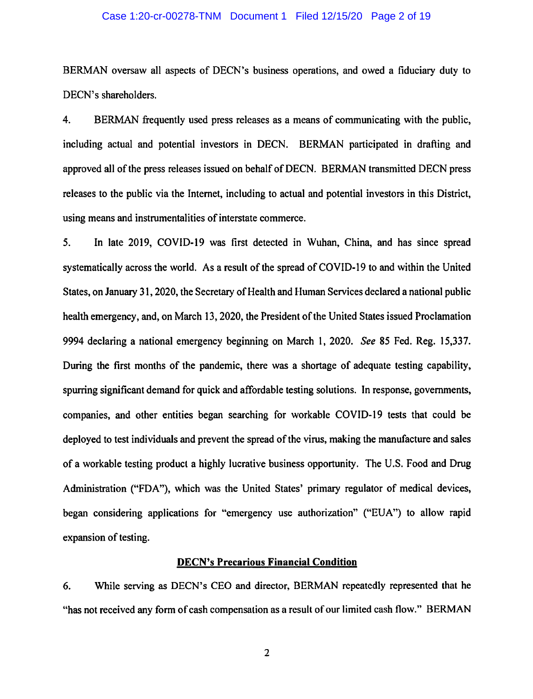#### Case 1:20-cr-00278-TNM Document 1 Filed 12/15/20 Page 2 of 19

BERMAN oversaw all aspects of DECN's business operations, and owed a fiduciary duty to DECN's shareholders.

4. BERMAN frequently used press releases as a means of communicating with the public, including actual and potential investors in DECN. BERMAN participated in drafting and approved all of the press releases issued on behalf of DECN. BERMAN transmitted DECN press releases to the public via the Internet, including to actual and potential investors in this District, using means and instrumentalities of interstate commerce.

5. In late 2019, COVID-19 was first detected in Wuhan, China, and has since spread systematically across the world. As a result of the spread of COVID-19 to and within the United States, on January 31, 2020, the Secretary of Health and Human Services declared a national public health emergency, and, on March 13, 2020, the President of the United States issued Proclamation 9994 declaring a national emergency beginning on March 1, 2020. *See* 85 Fed. Reg. 15,337. During the first months of the pandemic, there was a shortage of adequate testing capability, spurring significant demand for quick and affordable testing solutions. In response, governments, companies, and other entities began searching for workable COVID-19 tests that could be deployed to test individuals and prevent the spread of the virus, making the manufacture and sales of a workable testing product a highly lucrative business opportunity. The U.S. Food and Drug Administration ("FDA"), which was the United States' primary regulator of medical devices, began considering applications for "emergency use authorization" ("EUA") to allow rapid expansion of testing.

## **DECN's Precarious Financial Condition**

6. While serving as DECN's CEO and director, BERMAN repeatedly represented that he "has not received any form of cash compensation as a result of our limited cash flow." BERMAN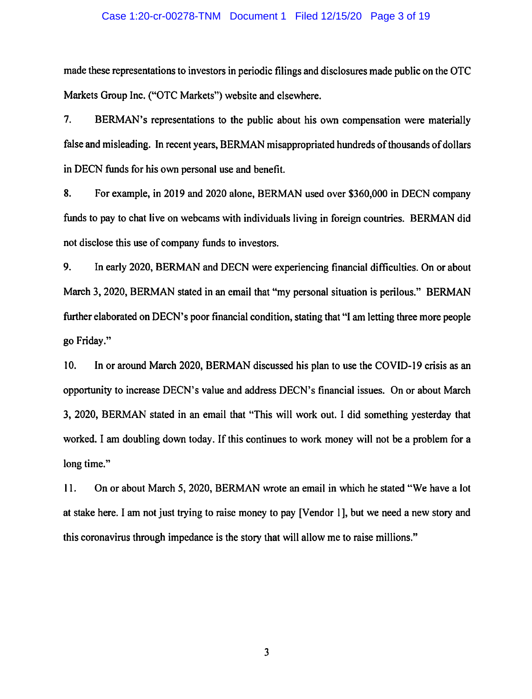#### Case 1:20-cr-00278-TNM Document 1 Filed 12/15/20 Page 3 of 19

made these representations to investors in periodic filings and disclosures made public on the OTC Markets Group Inc. ("OTC Markets") website and elsewhere.

7. BERMAN's representations to the public about his own compensation were materially false and misleading. In recent years, BERMAN misappropriated hundreds of thousands of dollars in DECN funds for his own personal use and benefit.

8. For example, in 2019 and 2020 alone, BERMAN used over \$360,000 in DECN company funds to pay to chat live on webcams with individuals living in foreign countries. BERMAN did not disclose this use of company funds to investors.

9. In early 2020, BERMAN and DECN were experiencing financial difficulties. On or about March 3, 2020, BERMAN stated in an email that "my personal situation is perilous." BERMAN further elaborated on DECN's poor financial condition, stating that "I am letting three more people go Friday."

10. In or around March 2020, BERMAN discussed his plan to use the COVID-19 crisis as an opportunity to increase DECN's value and address DECN's financial issues. On or about March 3, 2020, BERMAN stated in an email that "This will work out. I did something yesterday that worked. I am doubling down today. If this continues to work money will not be a problem for a long time."

11. On or about March 5, 2020, BERMAN wrote an email in which he stated "We have a lot at stake here. I am not just trying to raise money to pay [Vendor 1 ], but we need a new story and this coronavirus through impedance is the story that will allow me to raise millions."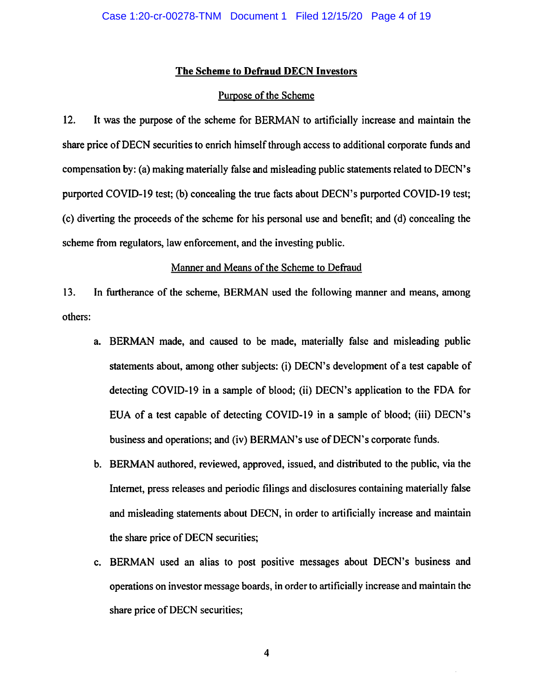# **The Scheme to Defraud DECN Investors**

# Purpose of the Scheme

12. It was the purpose of the scheme for BERMAN to artificially increase and maintain the share price ofDECN securities to enrich himself through access to additional corporate funds and compensation by: (a) making materially false and misleading public statements related to DECN's purported COVID-19 test; (b) concealing the true facts about DECN's purported COVID-19 test; (c) diverting the proceeds of the scheme for his personal use and benefit; and (d) concealing the scheme from regulators, law enforcement, and the investing public.

## Manner and Means of the Scheme to Defraud

13. In furtherance of the scheme, BERMAN used the following manner and means, among others:

- a. BERMAN made, and caused to be made, materially false and misleading public statements about, among other subjects: (i) DECN's development of a test capable of detecting COVID-19 in a sample of blood; (ii) DECN's application to the FDA for EUA of a test capable of detecting COVID-19 in a sample of blood; (iii) DECN's business and operations; and (iv) BERMAN's use of DECN's corporate funds.
- b. BERMAN authored, reviewed, approved, issued, and distributed to the public, via the Internet, press releases and periodic filings and disclosures containing materially false and misleading statements about DECN, in order to artificially increase and maintain the share price of DECN securities;
- c. BERMAN used an alias to post positive messages about DECN's business and operations on investor message boards, in order to artificially increase and maintain the share price of DECN securities;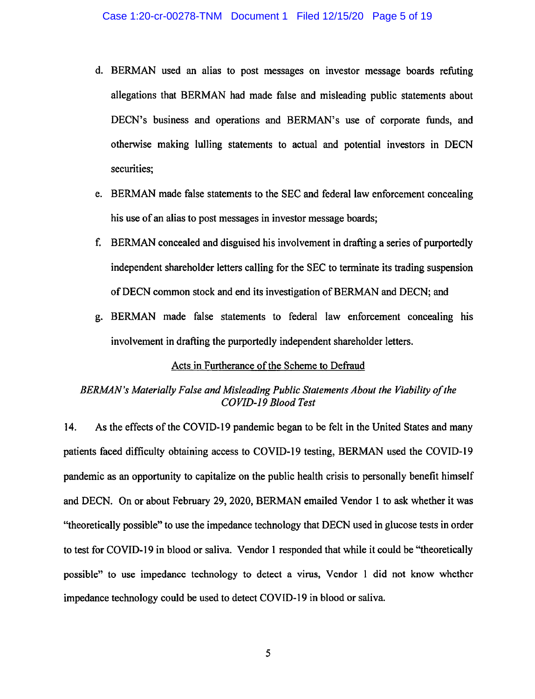- d. BERMAN used an alias to post messages on investor message boards refuting allegations that BERMAN had made false and misleading public statements about DECN's business and operations and BERMAN's use of corporate funds, and otherwise making lulling statements to actual and potential investors in DECN securities;
- e. BERMAN made false statements to the SEC and federal law enforcement concealing his use of an alias to post messages in investor message boards;
- f. BERMAN concealed and disguised his involvement in drafting a series of purportedly independent shareholder letters calling for the SEC to terminate its trading suspension ofDECN common stock and end its investigation of BERMAN and DECN; and
- g. BERMAN made false statements to federal law enforcement concealing his involvement in drafting the purportedly independent shareholder letters.

# Acts in Furtherance of the Scheme to Defraud

# *BERMAN's Materially False and Misleading Public Statements About the Viability of the COVID-19 Blood Test*

14. As the effects of the COVID-19 pandemic began to be felt in the United States and many patients faced difficulty obtaining access to COVID-19 testing, BERMAN used the COVID-19 pandemic as an opportunity to capitalize on the public health crisis to personally benefit himself and DECN. On or about February 29, 2020, BERMAN emailed Vendor I to ask whether it was "theoretically possible" to use the impedance technology that DECN used in glucose tests in order to test for COVID-19 in blood or saliva. Vendor 1 responded that while it could be "theoretically possible" to use impedance technology to detect a virus, Vendor 1 did not know whether impedance technology could be used to detect COVID-19 in blood or saliva.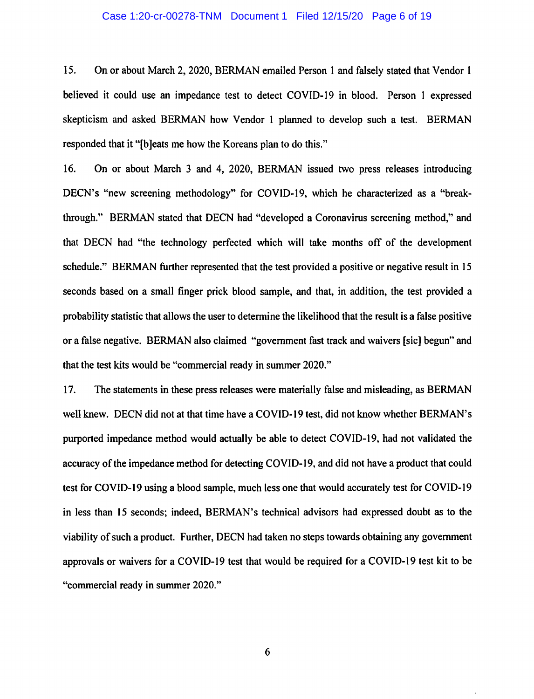#### Case 1:20-cr-00278-TNM Document 1 Filed 12/15/20 Page 6 of 19

15. On or about March 2, 2020, BERMAN emailed Person 1 and falsely stated that Vendor 1 believed it could use an impedance test to detect COVID-19 in blood. Person 1 expressed skepticism and asked BERMAN how Vendor I planned to develop such a test. BERMAN responded that it "[b]eats me how the Koreans plan to do this."

16. On or about March 3 and 4, 2020, BERMAN issued two press releases introducing DECN's "new screening methodology" for COVID-19, which he characterized as a "breakthrough." BERMAN stated that DECN had "developed a Coronavirus screening method," and that DECN had "the technology perfected which will take months off of the development schedule." BERMAN further represented that the test provided a positive or negative result in 15 seconds based on a small finger prick blood sample, and that, in addition, the test provided a probability statistic that allows the user to determine the likelihood that the result is a false positive or a false negative. BERMAN also claimed "government fast track and waivers [sic] begun" and that the test kits would be "commercial ready in summer 2020."

17. The statements in these press releases were materially false and misleading, as BERMAN well knew. DECN did not at that time have a COVID-19 test, did not know whether BERMAN's purported impedance method would actually be able to detect COVID-19, had not validated the accuracy of the impedance method for detecting COVID-19, and did not have a product that could test for COVID-19 using a blood sample, much less one that would accurately test for COVID-19 in less than 15 seconds; indeed, BERMAN's technical advisors had expressed doubt as to the viability of such a product. Further, DECN had taken no steps towards obtaining any government approvals or waivers for a COVID-19 test that would be required for a COVID-19 test kit to be "commercial ready in summer 2020."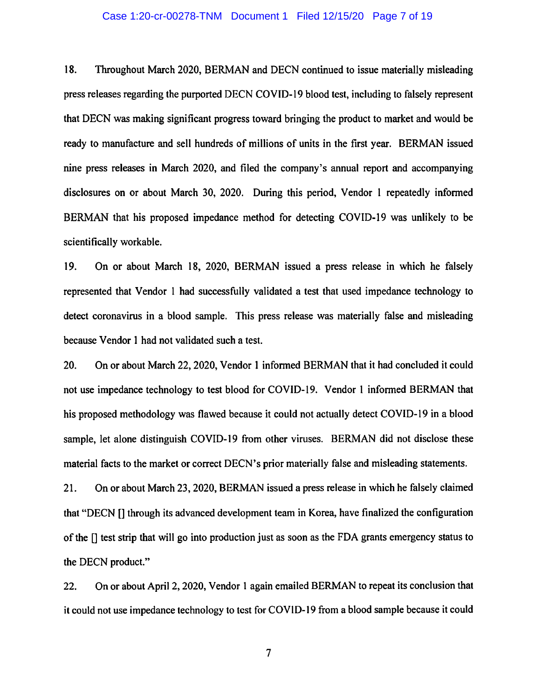#### Case 1:20-cr-00278-TNM Document 1 Filed 12/15/20 Page 7 of 19

18. Throughout March 2020, BERMAN and DECN continued to issue materially misleading press releases regarding the purported DECN COVID-19 blood test, including to falsely represent that DECN was making significant progress toward bringing the product to market and would be ready to manufacture and sell hundreds of millions of units in the first year. BERMAN issued nine press releases in March 2020, and filed the company's annual report and accompanying disclosures on or about March 30, 2020. During this period, Vendor 1 repeatedly informed BERMAN that his proposed impedance method for detecting COVID-19 was unlikely to be scientifically workable.

19. On or about March 18, 2020, BERMAN issued a press release in which he falsely represented that Vendor 1 had successfully validated a test that used impedance technology to detect coronavirus in a blood sample. This press release was materially false and misleading because Vendor I had not validated such a test.

20. On or about March 22, 2020, Vendor 1 informed BERMAN that it had concluded it could not use impedance technology to test blood for COVID-19. Vendor I informed BERMAN that his proposed methodology was flawed because it could not actually detect COVID-19 in a blood sample, let alone distinguish COVID-19 from other viruses. BERMAN did not disclose these material facts to the market or correct DECN's prior materially false and misleading statements.

21. On or about March 23, 2020, BERMAN issued a press release in which he falsely claimed that "DECN [] through its advanced development team in Korea, have finalized the configuration of the [] test strip that will go into production just as soon as the FDA grants emergency status to the DECN product."

22. On or about April 2, 2020, Vendor 1 again emailed BERMAN to repeat its conclusion that it could not use impedance technology to test for COVID-19 from a blood sample because it could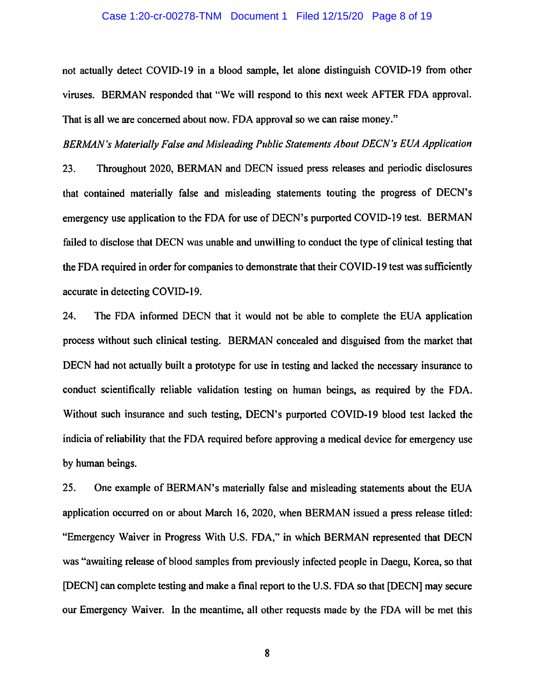#### Case 1:20-cr-00278-TNM Document 1 Filed 12/15/20 Page 8 of 19

not actually detect COVID-19 in a blood sample, let alone distinguish COVID-19 from other viruses. BERMAN responded that "We will respond to this next week AFTER FDA approval. That is all we are concerned about now. FDA approval so we can raise money."

*BERMAN's Materially False and Misleading Public Statements About DECN's EUA Application* 

23. Throughout 2020, BERMAN and DECN issued press releases and periodic disclosures that contained materially false and misleading statements touting the progress of DECN's emergency use application to the FDA for use of DECN's purported COVID-19 test. BERMAN failed to disclose that DECN was unable and unwilling to conduct the type of clinical testing that the FDA required in order for companies to demonstrate that their COVID-19 test was sufficiently accurate in detecting COVID-19.

24. The FDA informed DECN that it would not be able to complete the EUA application process without such clinical testing. BERMAN concealed and disguised from the market that DECN had not actually built a prototype for use in testing and lacked the necessary insurance to conduct scientifically reliable validation testing on human beings, as required by the FDA. Without such insurance and such testing, DECN's purported COVID-19 blood test lacked the indicia of reliability that the FDA required before approving a medical device for emergency use by human beings.

25. One example of BERMAN's materially false and misleading statements about the EUA application occurred on or about March 16, 2020, when BERMAN issued a press release titled: "Emergency Waiver in Progress With U.S. FDA," in which BERMAN represented that DECN was "awaiting release of blood samples from previously infected people in Daegu, Korea, so that [DECN] can complete testing and make a final report to the U.S. FDA so that [DECN] may secure our Emergency Waiver. In the meantime, all other requests made by the FDA will be met this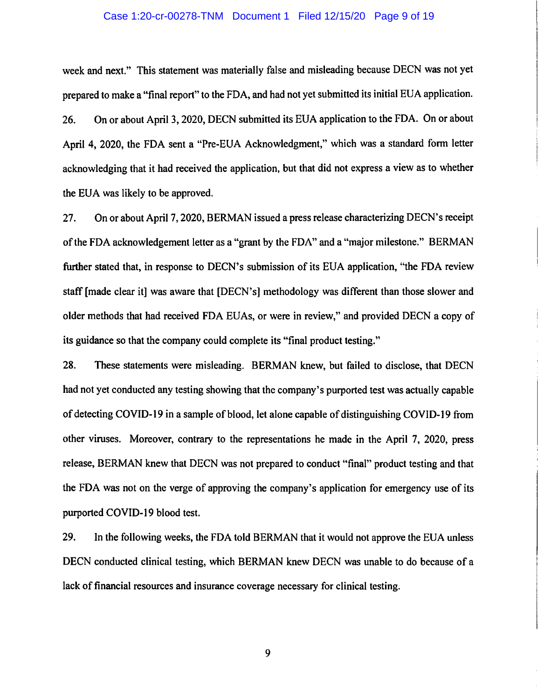#### Case 1:20-cr-00278-TNM Document 1 Filed 12/15/20 Page 9 of 19

week and next." This statement was materially false and misleading because DECN was not yet prepared to make a "final report" to the FDA, and had not yet submitted its initial EUA application. 26. On or about April 3, 2020, DECN submitted its EUA application to the FDA. On or about April 4, 2020, the FDA sent a "Pre-EUA Acknowledgment," which was a standard form letter acknowledging that it had received the application, but that did not express a view as to whether the EUA was likely to be approved.

27. On or about April 7, 2020, BERMAN issued a press release characterizing DECN's receipt of the FDA acknowledgement letter as a "grant by the FDA" and a "major milestone." BERMAN further stated that, in response to DECN's submission of its EUA application, "the FDA review staff [made clear it] was aware that [DECN's] methodology was different than those slower and older methods that had received FDA EUAs, or were in review," and provided DECN a copy of its guidance so that the company could complete its "final product testing."

28. These statements were misleading. BERMAN knew, but failed to disclose, that DECN had not yet conducted any testing showing that the company's purported test was actually capable of detecting COVID-19 in a sample of blood, let alone capable of distinguishing COVID-19 from other viruses. Moreover, contrary to the representations he made in the April 7, 2020, press release, BERMAN knew that DECN was not prepared to conduct "final" product testing and that the FDA was not on the verge of approving the company's application for emergency use of its purported COVID-19 blood test.

29. In the following weeks, the FDA told BERMAN that it would not approve the EUA unless DECN conducted clinical testing, which BERMAN knew DECN was unable to do because of a lack of financial resources and insurance coverage necessary for clinical testing.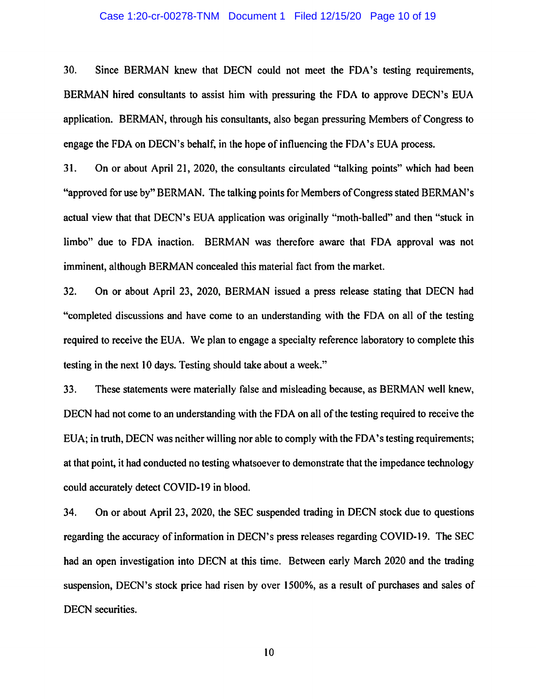#### Case 1:20-cr-00278-TNM Document 1 Filed 12/15/20 Page 10 of 19

30. Since BERMAN knew that DECN could not meet the FDA's testing requirements, BERMAN hired consultants to assist him with pressuring the FDA to approve DECN's EUA application. BERMAN, through his consultants, also began pressuring Members of Congress to engage the FDA on DECN's behalf, in the hope of influencing the FDA's EUA process.

31. On or about April 21, 2020, the consultants circulated "talking points" which had been "approved for use by" BERMAN. The talking points for Members of Congress stated BERMAN's actual view that that DECN's EUA application was originally "moth-balled" and then "stuck in limbo" due to FDA inaction. BERMAN was therefore aware that FDA approval was not imminent, although BERMAN concealed this material fact from the market.

32. On or about April 23, 2020, BERMAN issued a press release stating that DECN had "completed discussions and have come to an understanding with the FDA on all of the testing required to receive the EUA. We plan to engage a specialty reference laboratory to complete this testing in the next 10 days. Testing should take about a week."

33. These statements were materially false and misleading because, as BERMAN well knew, DECN had not come to an understanding with the FDA on all of the testing required to receive the EUA; in truth, DECN was neither willing nor able to comply with the FDA's testing requirements; at that point, it had conducted no testing whatsoever to demonstrate that the impedance technology could accurately detect COVID-19 in blood.

34. On or about April 23, 2020, the SEC suspended trading in DECN stock due to questions regarding the accuracy of information in DECN's press releases regarding COVID-19. The SEC had an open investigation into DECN at this time. Between early March 2020 and the trading suspension, DECN's stock price had risen by over 1500%, as a result of purchases and sales of DECN securities.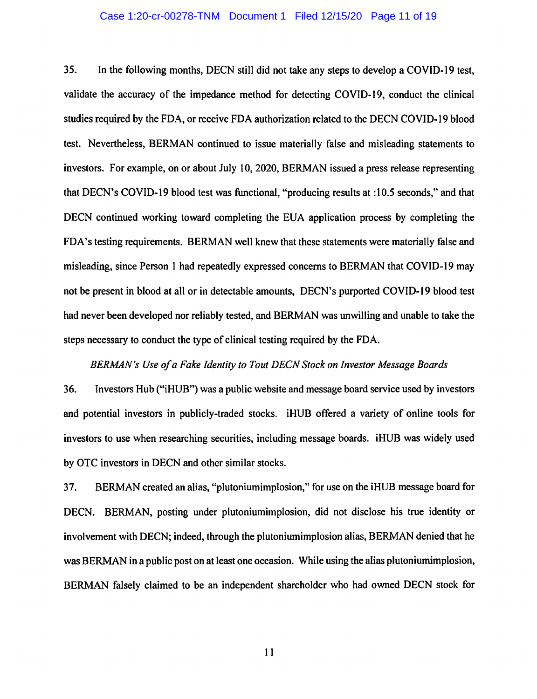#### Case 1:20-cr-00278-TNM Document 1 Filed 12/15/20 Page 11 of 19

35. In the following months, DECN still did not take any steps to develop a COVID-19 test, validate the accuracy of the impedance method for detecting COVID-19, conduct the clinical studies required by the FDA, or receive FDA authorization related to the DECN COVID-19 blood test. Nevertheless, BERMAN continued to issue materially false and misleading statements to investors. For example, on or about July 10, 2020, BERMAN issued a press release representing that DECN's COVID-19 blood test was functional, "producing results at :10.5 seconds," and that DECN continued working toward completing the EUA application process by completing the FDA's testing requirements. BERMAN well knew that these statements were materially false and misleading, since Person 1 had repeatedly expressed concerns to BERMAN that COVID-19 may not be present in blood at all or in detectable amounts, DECN's purported COVID-19 blood test had never been developed nor reliably tested, and BERMAN was unwilling and unable to take the steps necessary to conduct the type of clinical testing required by the FDA.

### *BERMAN's Use of a Fake Identity to Tout DECN Stock on Investor Message Boards*

36. Investors Hub ("iHUB") was a public website and message board service used by investors and potential investors in publicly-traded stocks. iHUB offered a variety of online tools for investors to use when researching securities, including message boards. iHUB was widely used by OTC investors in DECN and other similar stocks.

37. BERMAN created an alias, "plutoniumimplosion," for use on the iHUB message board for DECN. BERMAN, posting under plutoniumimplosion, did not disclose his true identity or involvement with DECN; indeed, through the plutoniumimplosion alias, BERMAN denied that he was BERMAN in a public post on at least one occasion. While using the alias plutoniumimplosion, BERMAN falsely claimed to be an independent shareholder who had owned DECN stock for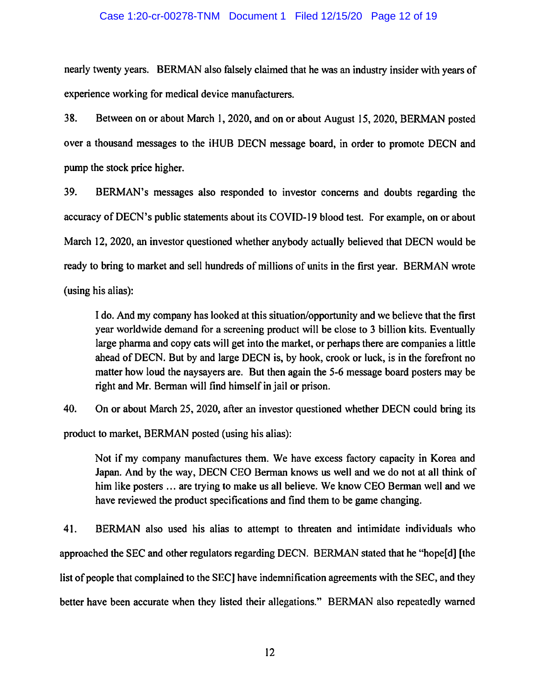#### Case 1:20-cr-00278-TNM Document 1 Filed 12/15/20 Page 12 of 19

nearly twenty years. BERMAN also falsely claimed that he was an industry insider with years of experience working for medical device manufacturers.

38. Between on or about March 1, 2020, and on or about August 15, 2020, BERMAN posted over a thousand messages to the iHUB DECN message board, in order to promote DECN and pump the stock price higher.

39. BERMAN's messages also responded to investor concerns and doubts regarding the accuracy of DECN's public statements about its COVID-19 blood test. For example, on or about March 12, 2020, an investor questioned whether anybody actually believed that DECN would be ready to bring to market and sell hundreds of millions of units in the first year. BERMAN wrote (using his alias):

I do. And my company has looked at this situation/opportunity and we believe that the first year worldwide demand for a screening product will be close to 3 billion kits. Eventually large pharma and copy cats will get into the market, or perhaps there are companies a little ahead of DECN. But by and large DECN is, by hook, crook or luck, is in the forefront no matter how loud the naysayers are. But then again the 5-6 message board posters may be right and Mr. Berman will find himself in jail or prison.

40. On or about March 25, 2020, after an investor questioned whether DECN could bring its product to market, BERMAN posted (using his alias):

Not if my company manufactures them. We have excess factory capacity in Korea and Japan. And by the way, DECN CEO Berman knows us well and we do not at all think of him like posters ... are trying to make us all believe. We know CEO Berman well and we have reviewed the product specifications and find them to be game changing.

41. BERMAN also used his alias to attempt to threaten and intimidate individuals who approached the SEC and other regulators regarding DECN. BERMAN stated that he "hope(d] [the list of people that complained to the SEC] have indemnification agreements with the SEC, and they better have been accurate when they listed their allegations." BERMAN also repeatedly warned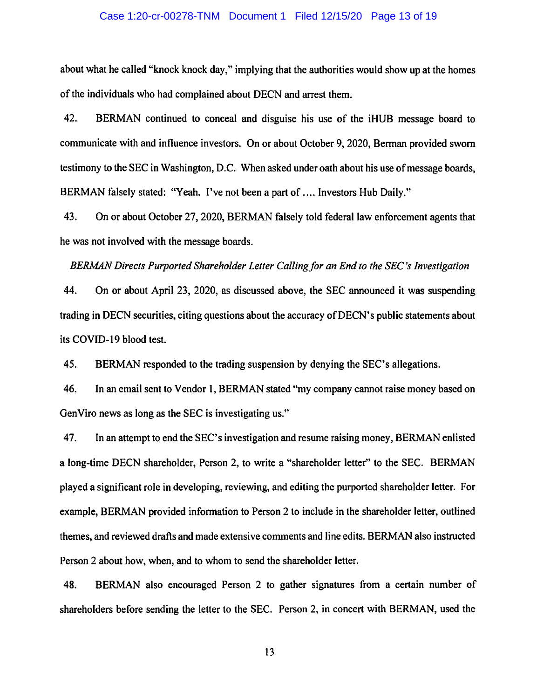#### Case 1:20-cr-00278-TNM Document 1 Filed 12/15/20 Page 13 of 19

about what he called "knock knock day," implying that the authorities would show up at the homes of the individuals who had complained about DECN and arrest them.

42. BERMAN continued to conceal and disguise his use of the iHUB message board to communicate with and influence investors. On or about October 9, 2020, Berman provided sworn testimony to the SEC in Washington, D.C. When asked under oath about his use of message boards, BERMAN falsely stated: "Yeah. I've not been a part of .... Investors Hub Daily."

43. On or about October 27, 2020, BERMAN falsely told federal law enforcement agents that he was not involved with the message boards.

#### *BERMAN Directs Purported Shareholder Letter Calling for an End to the SEC's Investigation*

44. On or about April 23, 2020, as discussed above, the SEC announced it was suspending trading in DECN securities, citing questions about the accuracy of DECN's public statements about its COVID-19 blood test.

45. BERMAN responded to the trading suspension by denying the SEC's allegations.

46. In an email sent to Vendor I, BERMAN stated "my company cannot raise money based on GenViro news as long as the SEC is investigating us."

47. In an attempt to end the SEC's investigation and resume raising money, BERMAN enlisted a long-time DECN shareholder, Person 2, to write a "shareholder letter" to the SEC. BERMAN played a significant role in developing, reviewing, and editing the purported shareholder letter. For example, BERMAN provided information to Person 2 to include in the shareholder letter, outlined themes, and reviewed drafts and made extensive comments and line edits. BERMAN also instructed Person 2 about how, when, and to whom to send the shareholder letter.

48. BERMAN also encouraged Person 2 to gather signatures from a certain number of shareholders before sending the letter to the SEC. Person 2, in concert with BERMAN, used the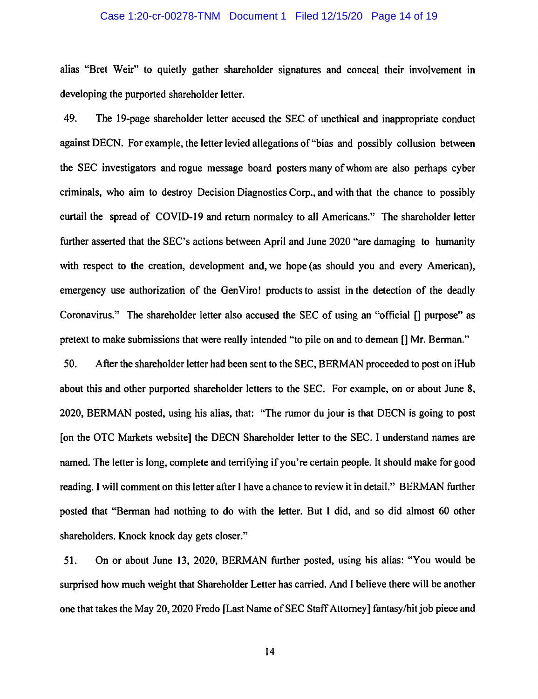#### Case 1:20-cr-00278-TNM Document 1 Filed 12/15/20 Page 14 of 19

alias "Bret Weir" to quietly gather shareholder signatures and conceal their involvement in developing the purported shareholder letter.

49. The 19-page shareholder letter accused the SEC of unethical and inappropriate conduct against DECN. For example, the letter levied allegations of "bias and possibly collusion between the SEC investigators and rogue message board posters many of whom are also perhaps cyber criminals, who aim to destroy Decision Diagnostics Corp., and with that the chance to possibly curtail the spread of COVID-19 and return normalcy to all Americans." The shareholder letter further asserted that the SEC's actions between April and June 2020 "are damaging to humanity with respect to the creation, development and, we hope (as should you and every American), emergency use authorization of the GenViro! products to assist in the detection of the deadly Coronavirus." The shareholder letter also accused the SEC of using an "official [] purpose" as pretext to make submissions that were really intended "to pile on and to demean [] Mr. Berman."

50. After the shareholder letter had been sent to the SEC, BERMAN proceeded to post on iHub about this and other purported shareholder letters to the SEC. For example, on or about June 8, 2020, BERMAN posted, using his alias, that: "The rumor du jour is that DECN is going to post [on the OTC Markets website] the DECN Shareholder letter to the SEC. I understand names are named. The letter is long, complete and terrifying if you're certain people. It should make for good reading. I will comment on this letter after I have a chance to review it in detail." BERMAN further posted that "Berman had nothing to do with the letter. But I did, and so did almost 60 other shareholders. Knock knock day gets closer."

51. On or about June 13, 2020, BERMAN further posted, using his alias: "You would be surprised how much weight that Shareholder Letter has carried. And I believe there will be another one that takes the May 20, 2020 Fredo [Last Name of SEC Staff Attorney] fantasy/hit job piece and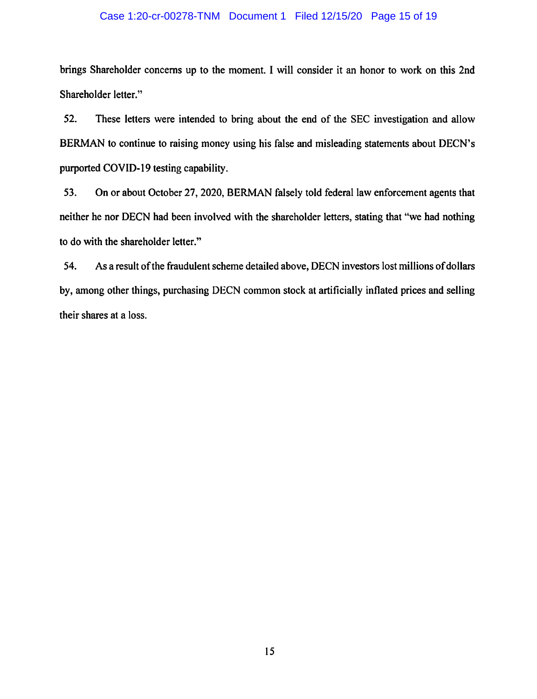#### Case 1:20-cr-00278-TNM Document 1 Filed 12/15/20 Page 15 of 19

brings Shareholder concerns up to the moment. I will consider it an honor to work on this 2nd Shareholder letter."

52. These letters were intended to bring about the end of the SEC investigation and allow BERMAN to continue to raising money using his false and misleading statements about DECN's purported COVID-19 testing capability.

53. On or about October 27, 2020, BERMAN falsely told federal law enforcement agents that neither he nor DECN had been involved with the shareholder letters, stating that "we had nothing to do with the shareholder letter."

54. As a result of the fraudulent scheme detailed above, DECN investors lost millions of dollars by, among other things, purchasing DECN common stock at artificially inflated prices and selling their shares at a loss.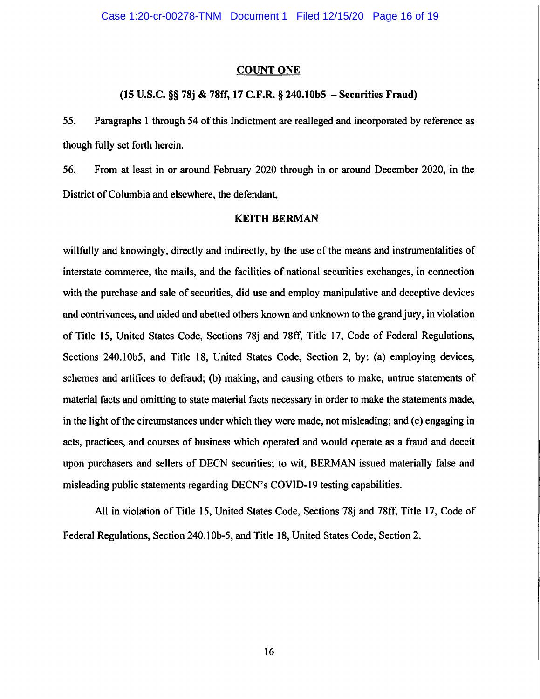#### **COUNT ONE**

## **(15 U.S.C.** §§ **78j** & **78ff, 17 C.F.R.** § **240.lObS** - **Securities Fraud)**

*55.* Paragraphs 1 through 54 of this Indictment are realleged and incorporated by reference as though fully set forth herein.

56. From at least in or around February 2020 through in or around December 2020, in the District of Columbia and elsewhere, the defendant,

## **KEITH BERMAN**

willfully and knowingly, directly and indirectly, by the use of the means and instrumentalities of interstate commerce, the mails, and the facilities of national securities exchanges, in connection with the purchase and sale of securities, did use and employ manipulative and deceptive devices and contrivances, and aided and abetted others known and unknown to the grand jury, in violation of Title 15, United States Code, Sections 78j and 78ff, Title 17, Code of Federal Regulations, Sections 240.10b5, and Title 18, United States Code, Section 2, by: (a) employing devices, schemes and artifices to defraud; (b) making, and causing others to make, untrue statements of material facts and omitting to state material facts necessary in order to make the statements made, in the light of the circumstances under which they were made, not misleading; and (c) engaging in acts, practices, and courses of business which operated and would operate as a fraud and deceit upon purchasers and sellers of DECN securities; to wit, BERMAN issued materially false and misleading public statements regarding DECN's COVID-19 testing capabilities.

All in violation of Title 15, United States Code, Sections 78j and 78ff, Title 17, Code of Federal Regulations, Section 240.1 0b-5, and Title 18, United States Code, Section 2.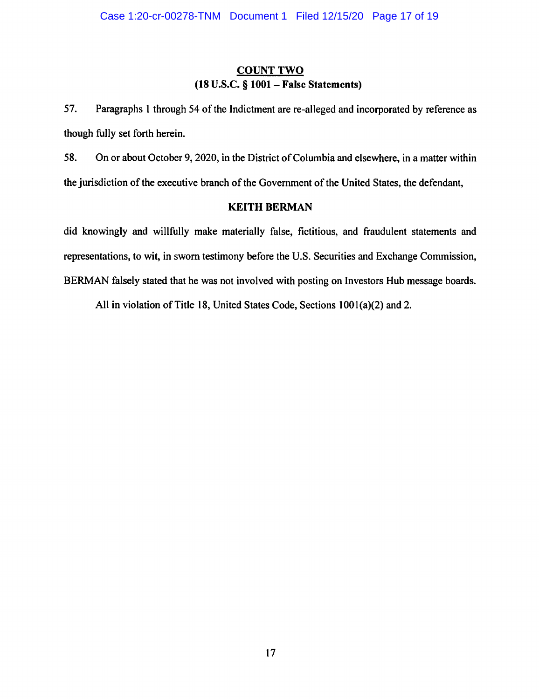# **COUNT TWO (18 U.S.C.** § **1001** - **False Statements)**

57. Paragraphs 1 through 54 of the Indictment are re-alleged and incorporated by reference as though fully set forth herein.

58. On or about October 9, 2020, in the District of Columbia and elsewhere, in a matter within the jurisdiction of the executive branch of the Government of the United States, the defendant,

# **KEITH BERMAN**

did knowingly and willfully make materially false, fictitious, and fraudulent statements and representations, to wit, in sworn testimony before the U.S. Securities and Exchange Commission, BERMAN falsely stated that he was not involved with posting on Investors Hub message boards.

All in violation of Title 18, United States Code, Sections 1001(a)(2) and 2.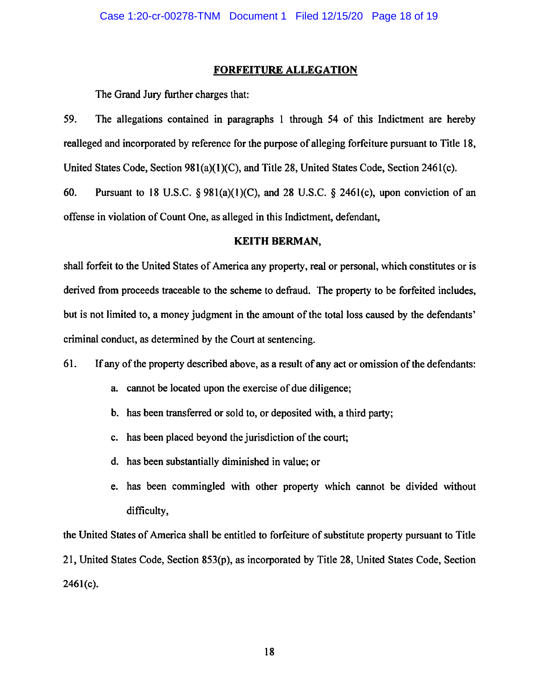#### **FORFEITURE ALLEGATION**

The Grand Jury further charges that:

59. The allegations contained in paragraphs 1 through 54 of this Indictment are hereby realleged and incorporated by reference for the purpose of alleging forfeiture pursuant to Title 18, United States Code, Section 981(a)(l)(C), and Title 28, United States Code, Section 246l(c).

60. Pursuant to 18 U.S.C. §  $981(a)(1)(C)$ , and 28 U.S.C. § 2461(c), upon conviction of an offense in violation of Count One, as alleged in this Indictment, defendant,

# **KEITH BERMAN,**

shall forfeit to the United States of America any property, real or personal, which constitutes or is derived from proceeds traceable to the scheme to defraud. The property to be forfeited includes, but is not limited to, a money judgment in the amount of the total loss caused by the defendants' criminal conduct, as determined by the Court at sentencing.

61. If any of the property described above, as a result of any act or omission of the defendants:

- a. cannot be located upon the exercise of due diligence;
- b. has been transferred or sold to, or deposited with, a third party;
- c. has been placed beyond the jurisdiction of the court;
- d. has been substantially diminished in value; or
- e. has been commingled with other property which cannot be divided without difficulty,

the United States of America shall be entitled to forfeiture of substitute property pursuant to Title 21, United States Code, Section 853(p ), as incorporated by Title 28, United States Code, Section 2461(c).